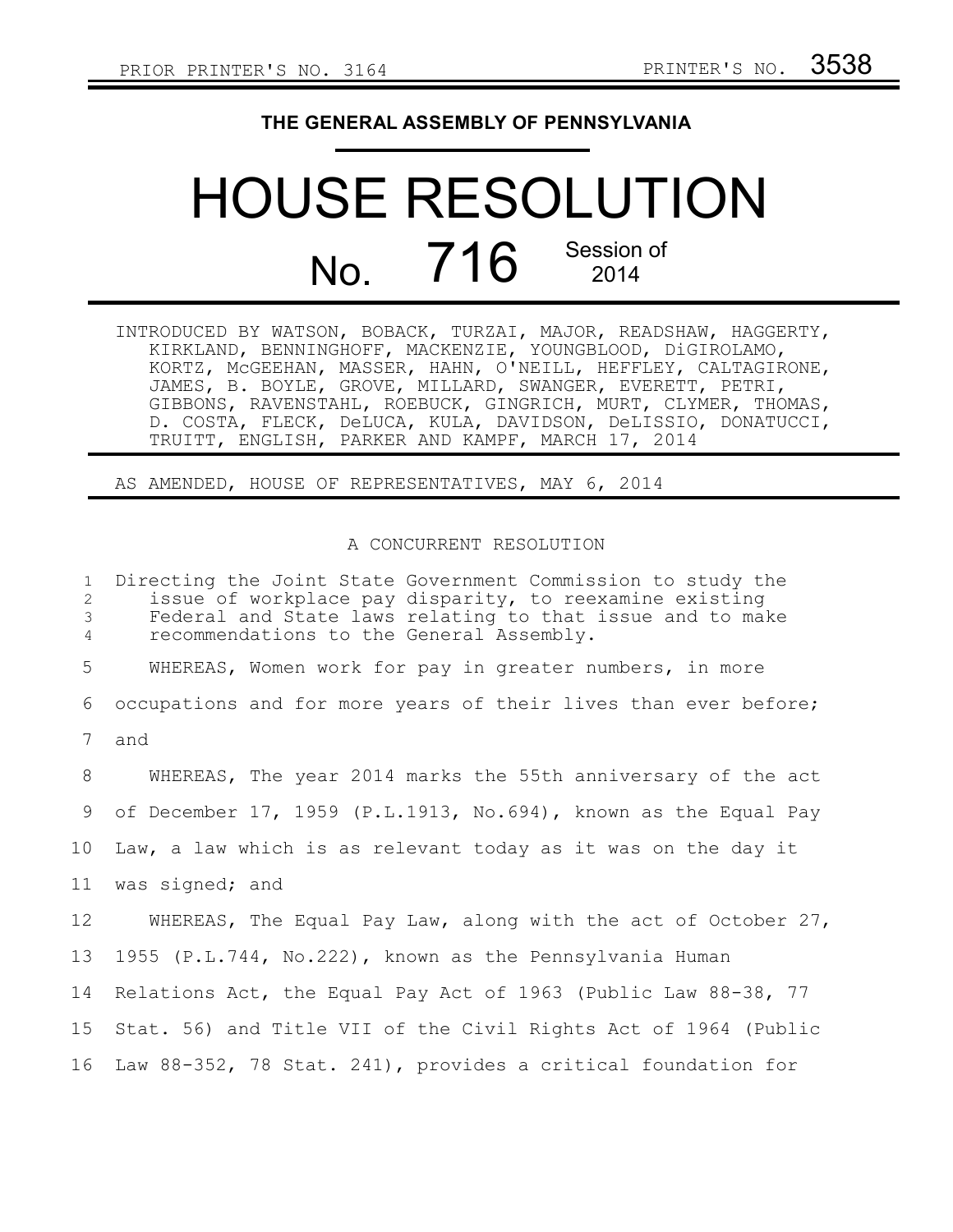## **THE GENERAL ASSEMBLY OF PENNSYLVANIA**

## HOUSE RESOLUTION No. 716 Session of

INTRODUCED BY WATSON, BOBACK, TURZAI, MAJOR, READSHAW, HAGGERTY, KIRKLAND, BENNINGHOFF, MACKENZIE, YOUNGBLOOD, DiGIROLAMO, KORTZ, McGEEHAN, MASSER, HAHN, O'NEILL, HEFFLEY, CALTAGIRONE, JAMES, B. BOYLE, GROVE, MILLARD, SWANGER, EVERETT, PETRI, GIBBONS, RAVENSTAHL, ROEBUCK, GINGRICH, MURT, CLYMER, THOMAS, D. COSTA, FLECK, DeLUCA, KULA, DAVIDSON, DeLISSIO, DONATUCCI, TRUITT, ENGLISH, PARKER AND KAMPF, MARCH 17, 2014

## AS AMENDED, HOUSE OF REPRESENTATIVES, MAY 6, 2014

## A CONCURRENT RESOLUTION

Directing the Joint State Government Commission to study the issue of workplace pay disparity, to reexamine existing Federal and State laws relating to that issue and to make recommendations to the General Assembly. WHEREAS, Women work for pay in greater numbers, in more occupations and for more years of their lives than ever before; and WHEREAS, The year 2014 marks the 55th anniversary of the act of December 17, 1959 (P.L.1913, No.694), known as the Equal Pay Law, a law which is as relevant today as it was on the day it was signed; and WHEREAS, The Equal Pay Law, along with the act of October 27, 1955 (P.L.744, No.222), known as the Pennsylvania Human Relations Act, the Equal Pay Act of 1963 (Public Law 88-38, 77 Stat. 56) and Title VII of the Civil Rights Act of 1964 (Public 16 Law 88-352, 78 Stat. 241), provides a critical foundation for 1 2 3 4 5 6 7 8 9 10 11 12 13 14 15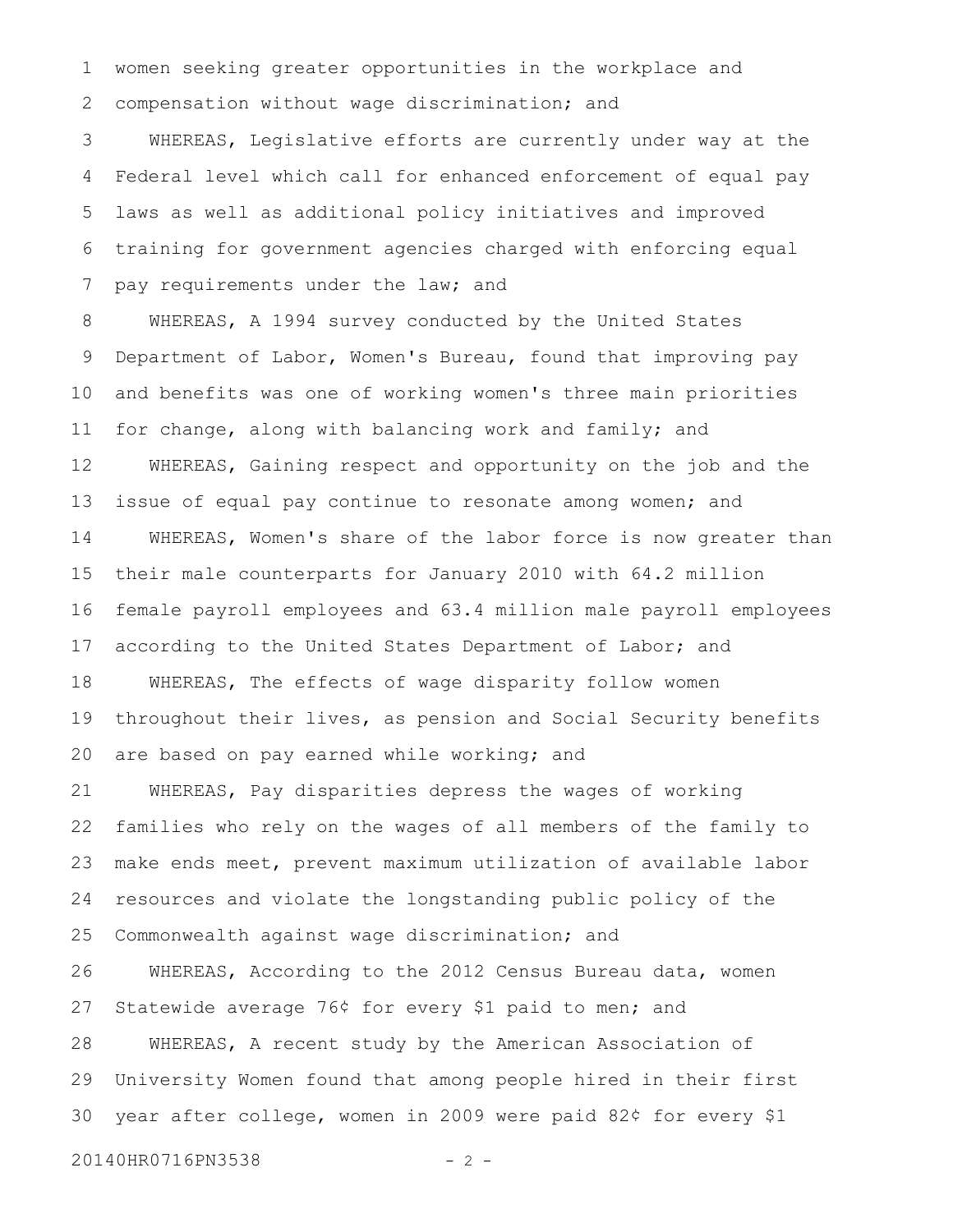women seeking greater opportunities in the workplace and compensation without wage discrimination; and 1 2

WHEREAS, Legislative efforts are currently under way at the Federal level which call for enhanced enforcement of equal pay laws as well as additional policy initiatives and improved training for government agencies charged with enforcing equal pay requirements under the law; and 3 4 5 6 7

WHEREAS, A 1994 survey conducted by the United States Department of Labor, Women's Bureau, found that improving pay and benefits was one of working women's three main priorities for change, along with balancing work and family; and WHEREAS, Gaining respect and opportunity on the job and the issue of equal pay continue to resonate among women; and WHEREAS, Women's share of the labor force is now greater than their male counterparts for January 2010 with 64.2 million female payroll employees and 63.4 million male payroll employees according to the United States Department of Labor; and WHEREAS, The effects of wage disparity follow women throughout their lives, as pension and Social Security benefits are based on pay earned while working; and WHEREAS, Pay disparities depress the wages of working families who rely on the wages of all members of the family to make ends meet, prevent maximum utilization of available labor resources and violate the longstanding public policy of the Commonwealth against wage discrimination; and WHEREAS, According to the 2012 Census Bureau data, women Statewide average 76¢ for every \$1 paid to men; and WHEREAS, A recent study by the American Association of University Women found that among people hired in their first year after college, women in 2009 were paid 82¢ for every \$1 8 9 10 11 12 13 14 15 16 17 18 19 20 21 22 23 24 25 26 27 28 29 30

20140HR0716PN3538 - 2 -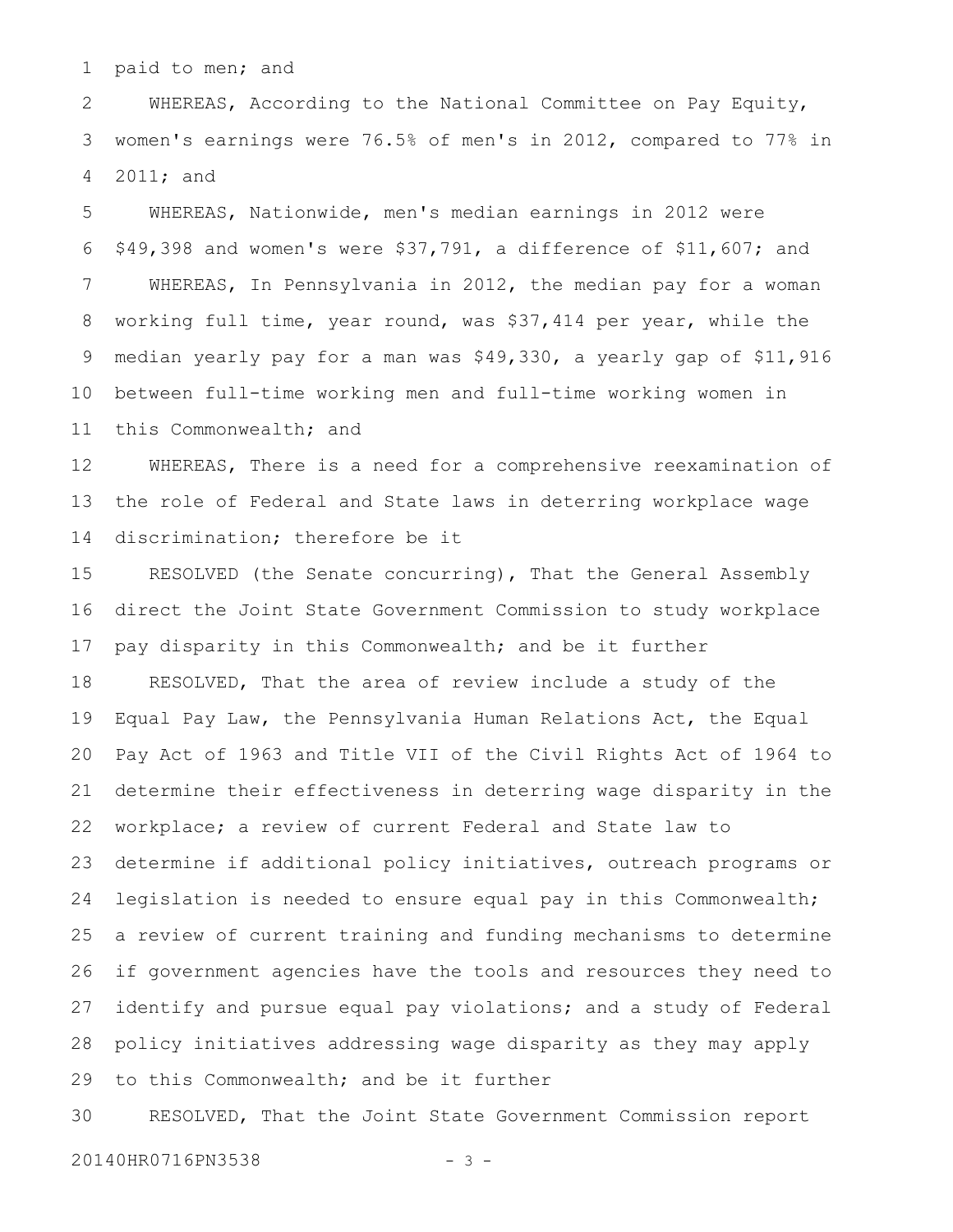paid to men; and 1

WHEREAS, According to the National Committee on Pay Equity, women's earnings were 76.5% of men's in 2012, compared to 77% in 2011; and 2 3 4

WHEREAS, Nationwide, men's median earnings in 2012 were \$49,398 and women's were \$37,791, a difference of \$11,607; and WHEREAS, In Pennsylvania in 2012, the median pay for a woman working full time, year round, was \$37,414 per year, while the median yearly pay for a man was \$49,330, a yearly gap of \$11,916 between full-time working men and full-time working women in this Commonwealth; and 5 6 7 8 9 10 11

WHEREAS, There is a need for a comprehensive reexamination of the role of Federal and State laws in deterring workplace wage discrimination; therefore be it 12 13 14

RESOLVED (the Senate concurring), That the General Assembly direct the Joint State Government Commission to study workplace pay disparity in this Commonwealth; and be it further RESOLVED, That the area of review include a study of the Equal Pay Law, the Pennsylvania Human Relations Act, the Equal Pay Act of 1963 and Title VII of the Civil Rights Act of 1964 to determine their effectiveness in deterring wage disparity in the workplace; a review of current Federal and State law to determine if additional policy initiatives, outreach programs or legislation is needed to ensure equal pay in this Commonwealth; a review of current training and funding mechanisms to determine if government agencies have the tools and resources they need to identify and pursue equal pay violations; and a study of Federal policy initiatives addressing wage disparity as they may apply to this Commonwealth; and be it further 15 16 17 18 19 20 21 22 23 24 25 26 27 28 29

RESOLVED, That the Joint State Government Commission report 30

20140HR0716PN3538 - 3 -